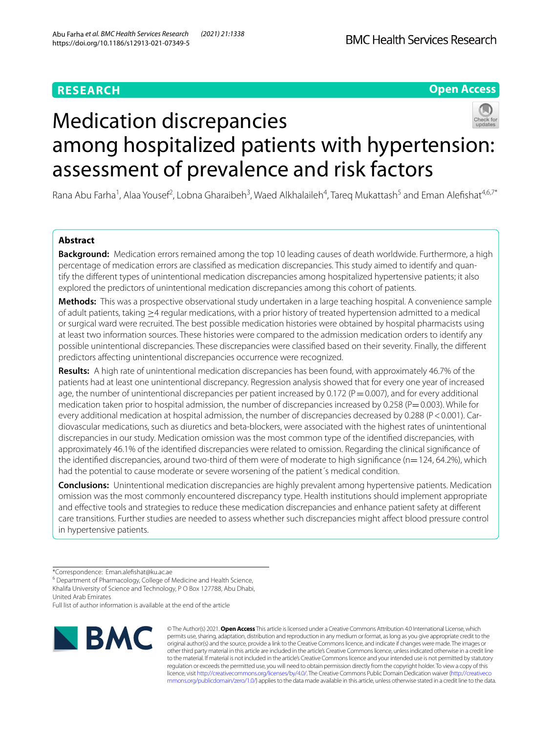## **RESEARCH**

## **Open Access**



# Medication discrepancies among hospitalized patients with hypertension: assessment of prevalence and risk factors

Rana Abu Farha<sup>1</sup>, Alaa Yousef<sup>2</sup>, Lobna Gharaibeh<sup>3</sup>, Waed Alkhalaileh<sup>4</sup>, Tareq Mukattash<sup>5</sup> and Eman Alefishat<sup>4,6,7\*</sup>

## **Abstract**

**Background:** Medication errors remained among the top 10 leading causes of death worldwide. Furthermore, a high percentage of medication errors are classifed as medication discrepancies. This study aimed to identify and quantify the diferent types of unintentional medication discrepancies among hospitalized hypertensive patients; it also explored the predictors of unintentional medication discrepancies among this cohort of patients.

**Methods:** This was a prospective observational study undertaken in a large teaching hospital. A convenience sample of adult patients, taking ≥4 regular medications, with a prior history of treated hypertension admitted to a medical or surgical ward were recruited. The best possible medication histories were obtained by hospital pharmacists using at least two information sources. These histories were compared to the admission medication orders to identify any possible unintentional discrepancies. These discrepancies were classifed based on their severity. Finally, the diferent predictors afecting unintentional discrepancies occurrence were recognized.

**Results:** A high rate of unintentional medication discrepancies has been found, with approximately 46.7% of the patients had at least one unintentional discrepancy. Regression analysis showed that for every one year of increased age, the number of unintentional discrepancies per patient increased by 0.172 ( $P=0.007$ ), and for every additional medication taken prior to hospital admission, the number of discrepancies increased by 0.258 ( $P=0.003$ ). While for every additional medication at hospital admission, the number of discrepancies decreased by 0.288 (P<0.001). Cardiovascular medications, such as diuretics and beta-blockers, were associated with the highest rates of unintentional discrepancies in our study. Medication omission was the most common type of the identifed discrepancies, with approximately 46.1% of the identifed discrepancies were related to omission. Regarding the clinical signifcance of the identified discrepancies, around two-third of them were of moderate to high significance ( $n=124$ , 64.2%), which had the potential to cause moderate or severe worsening of the patient´s medical condition.

**Conclusions:** Unintentional medication discrepancies are highly prevalent among hypertensive patients. Medication omission was the most commonly encountered discrepancy type. Health institutions should implement appropriate and efective tools and strategies to reduce these medication discrepancies and enhance patient safety at diferent care transitions. Further studies are needed to assess whether such discrepancies might afect blood pressure control in hypertensive patients.

<sup>6</sup> Department of Pharmacology, College of Medicine and Health Science, Khalifa University of Science and Technology, P O Box 127788, Abu Dhabi, United Arab Emirates

Full list of author information is available at the end of the article



© The Author(s) 2021. **Open Access** This article is licensed under a Creative Commons Attribution 4.0 International License, which permits use, sharing, adaptation, distribution and reproduction in any medium or format, as long as you give appropriate credit to the original author(s) and the source, provide a link to the Creative Commons licence, and indicate if changes were made. The images or other third party material in this article are included in the article's Creative Commons licence, unless indicated otherwise in a credit line to the material. If material is not included in the article's Creative Commons licence and your intended use is not permitted by statutory regulation or exceeds the permitted use, you will need to obtain permission directly from the copyright holder. To view a copy of this licence, visit [http://creativecommons.org/licenses/by/4.0/.](http://creativecommons.org/licenses/by/4.0/) The Creative Commons Public Domain Dedication waiver ([http://creativeco](http://creativecommons.org/publicdomain/zero/1.0/) [mmons.org/publicdomain/zero/1.0/](http://creativecommons.org/publicdomain/zero/1.0/)) applies to the data made available in this article, unless otherwise stated in a credit line to the data.

<sup>\*</sup>Correspondence: Eman.alefshat@ku.ac.ae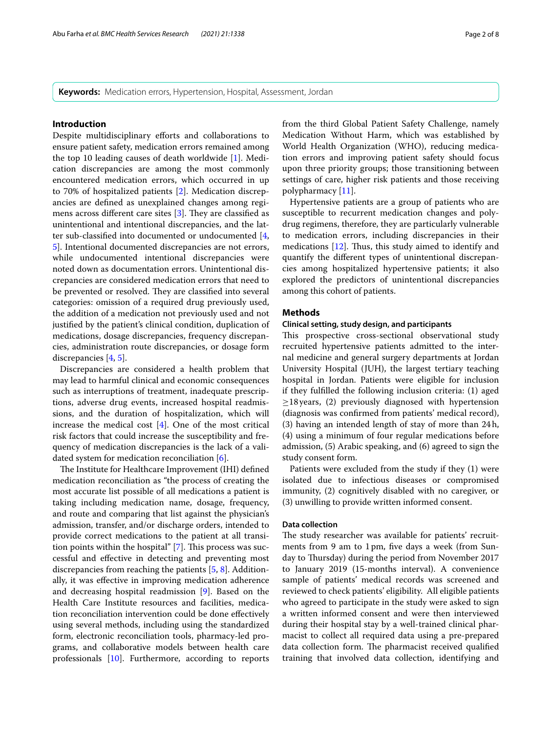**Keywords:** Medication errors, Hypertension, Hospital, Assessment, Jordan

#### **Introduction**

Despite multidisciplinary eforts and collaborations to ensure patient safety, medication errors remained among the top 10 leading causes of death worldwide [[1\]](#page-7-0). Medication discrepancies are among the most commonly encountered medication errors, which occurred in up to 70% of hospitalized patients [[2\]](#page-7-1). Medication discrepancies are defned as unexplained changes among regimens across different care sites  $[3]$  $[3]$ . They are classified as unintentional and intentional discrepancies, and the lat-ter sub-classified into documented or undocumented [\[4](#page-7-3), [5\]](#page-7-4). Intentional documented discrepancies are not errors, while undocumented intentional discrepancies were noted down as documentation errors. Unintentional discrepancies are considered medication errors that need to be prevented or resolved. They are classified into several categories: omission of a required drug previously used, the addition of a medication not previously used and not justifed by the patient's clinical condition, duplication of medications, dosage discrepancies, frequency discrepancies, administration route discrepancies, or dosage form discrepancies [\[4](#page-7-3), [5\]](#page-7-4).

Discrepancies are considered a health problem that may lead to harmful clinical and economic consequences such as interruptions of treatment, inadequate prescriptions, adverse drug events, increased hospital readmissions, and the duration of hospitalization, which will increase the medical cost [\[4\]](#page-7-3). One of the most critical risk factors that could increase the susceptibility and frequency of medication discrepancies is the lack of a validated system for medication reconciliation [[6\]](#page-7-5).

The Institute for Healthcare Improvement (IHI) defined medication reconciliation as "the process of creating the most accurate list possible of all medications a patient is taking including medication name, dosage, frequency, and route and comparing that list against the physician's admission, transfer, and/or discharge orders, intended to provide correct medications to the patient at all transition points within the hospital"  $[7]$  $[7]$ . This process was successful and efective in detecting and preventing most discrepancies from reaching the patients [\[5](#page-7-4), [8\]](#page-7-7). Additionally, it was efective in improving medication adherence and decreasing hospital readmission [[9\]](#page-7-8). Based on the Health Care Institute resources and facilities, medication reconciliation intervention could be done efectively using several methods, including using the standardized form, electronic reconciliation tools, pharmacy-led programs, and collaborative models between health care professionals [[10\]](#page-7-9). Furthermore, according to reports from the third Global Patient Safety Challenge, namely Medication Without Harm, which was established by World Health Organization (WHO), reducing medication errors and improving patient safety should focus upon three priority groups; those transitioning between settings of care, higher risk patients and those receiving polypharmacy [[11\]](#page-7-10).

Hypertensive patients are a group of patients who are susceptible to recurrent medication changes and polydrug regimens, therefore, they are particularly vulnerable to medication errors, including discrepancies in their medications  $[12]$ . Thus, this study aimed to identify and quantify the diferent types of unintentional discrepancies among hospitalized hypertensive patients; it also explored the predictors of unintentional discrepancies among this cohort of patients.

#### **Methods**

#### **Clinical setting, study design, and participants**

This prospective cross-sectional observational study recruited hypertensive patients admitted to the internal medicine and general surgery departments at Jordan University Hospital (JUH), the largest tertiary teaching hospital in Jordan. Patients were eligible for inclusion if they fulflled the following inclusion criteria: (1) aged  $\geq$ 18 years, (2) previously diagnosed with hypertension (diagnosis was confrmed from patients' medical record), (3) having an intended length of stay of more than 24h, (4) using a minimum of four regular medications before admission, (5) Arabic speaking, and (6) agreed to sign the study consent form.

Patients were excluded from the study if they (1) were isolated due to infectious diseases or compromised immunity, (2) cognitively disabled with no caregiver, or (3) unwilling to provide written informed consent.

#### **Data collection**

The study researcher was available for patients' recruitments from 9 am to 1pm, fve days a week (from Sunday to Thursday) during the period from November 2017 to January 2019 (15-months interval). A convenience sample of patients' medical records was screened and reviewed to check patients' eligibility. All eligible patients who agreed to participate in the study were asked to sign a written informed consent and were then interviewed during their hospital stay by a well-trained clinical pharmacist to collect all required data using a pre-prepared data collection form. The pharmacist received qualified training that involved data collection, identifying and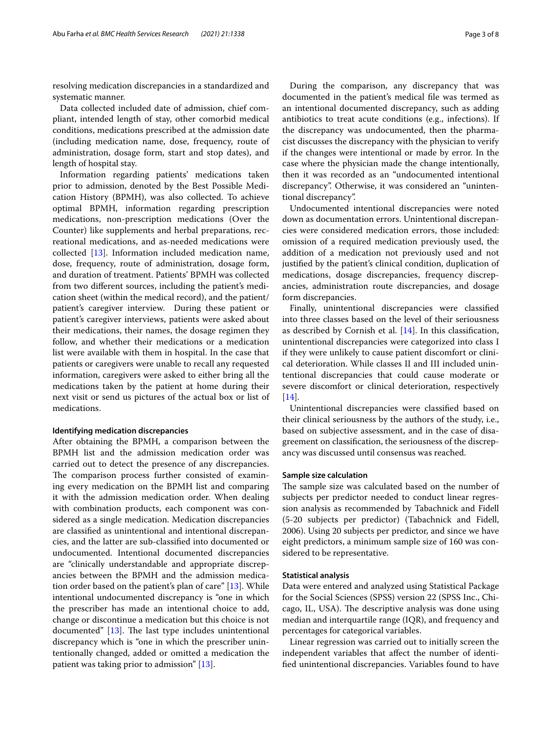resolving medication discrepancies in a standardized and systematic manner.

Data collected included date of admission, chief compliant, intended length of stay, other comorbid medical conditions, medications prescribed at the admission date (including medication name, dose, frequency, route of administration, dosage form, start and stop dates), and length of hospital stay.

Information regarding patients' medications taken prior to admission, denoted by the Best Possible Medication History (BPMH), was also collected. To achieve optimal BPMH, information regarding prescription medications, non-prescription medications (Over the Counter) like supplements and herbal preparations, recreational medications, and as-needed medications were collected [\[13\]](#page-7-12). Information included medication name, dose, frequency, route of administration, dosage form, and duration of treatment. Patients' BPMH was collected from two diferent sources, including the patient's medication sheet (within the medical record), and the patient/ patient's caregiver interview. During these patient or patient's caregiver interviews, patients were asked about their medications, their names, the dosage regimen they follow, and whether their medications or a medication list were available with them in hospital. In the case that patients or caregivers were unable to recall any requested information, caregivers were asked to either bring all the medications taken by the patient at home during their next visit or send us pictures of the actual box or list of medications.

#### **Identifying medication discrepancies**

After obtaining the BPMH, a comparison between the BPMH list and the admission medication order was carried out to detect the presence of any discrepancies. The comparison process further consisted of examining every medication on the BPMH list and comparing it with the admission medication order. When dealing with combination products, each component was considered as a single medication. Medication discrepancies are classifed as unintentional and intentional discrepancies, and the latter are sub-classifed into documented or undocumented. Intentional documented discrepancies are "clinically understandable and appropriate discrepancies between the BPMH and the admission medication order based on the patient's plan of care" [[13\]](#page-7-12). While intentional undocumented discrepancy is "one in which the prescriber has made an intentional choice to add, change or discontinue a medication but this choice is not documented"  $[13]$  $[13]$ . The last type includes unintentional discrepancy which is "one in which the prescriber unintentionally changed, added or omitted a medication the patient was taking prior to admission" [\[13\]](#page-7-12).

During the comparison, any discrepancy that was documented in the patient's medical fle was termed as an intentional documented discrepancy, such as adding antibiotics to treat acute conditions (e.g., infections). If the discrepancy was undocumented, then the pharmacist discusses the discrepancy with the physician to verify if the changes were intentional or made by error. In the case where the physician made the change intentionally, then it was recorded as an "undocumented intentional discrepancy". Otherwise, it was considered an "unintentional discrepancy".

Undocumented intentional discrepancies were noted down as documentation errors. Unintentional discrepancies were considered medication errors, those included: omission of a required medication previously used, the addition of a medication not previously used and not justifed by the patient's clinical condition, duplication of medications, dosage discrepancies, frequency discrepancies, administration route discrepancies, and dosage form discrepancies.

Finally, unintentional discrepancies were classifed into three classes based on the level of their seriousness as described by Cornish et al. [\[14\]](#page-7-13). In this classifcation, unintentional discrepancies were categorized into class I if they were unlikely to cause patient discomfort or clinical deterioration. While classes II and III included unintentional discrepancies that could cause moderate or severe discomfort or clinical deterioration, respectively [[14\]](#page-7-13).

Unintentional discrepancies were classifed based on their clinical seriousness by the authors of the study, i.e., based on subjective assessment, and in the case of disagreement on classifcation, the seriousness of the discrepancy was discussed until consensus was reached.

#### **Sample size calculation**

The sample size was calculated based on the number of subjects per predictor needed to conduct linear regression analysis as recommended by Tabachnick and Fidell (5-20 subjects per predictor) (Tabachnick and Fidell, 2006). Using 20 subjects per predictor, and since we have eight predictors, a minimum sample size of 160 was considered to be representative.

#### **Statistical analysis**

Data were entered and analyzed using Statistical Package for the Social Sciences (SPSS) version 22 (SPSS Inc., Chicago, IL, USA). The descriptive analysis was done using median and interquartile range (IQR), and frequency and percentages for categorical variables.

Linear regression was carried out to initially screen the independent variables that afect the number of identifed unintentional discrepancies. Variables found to have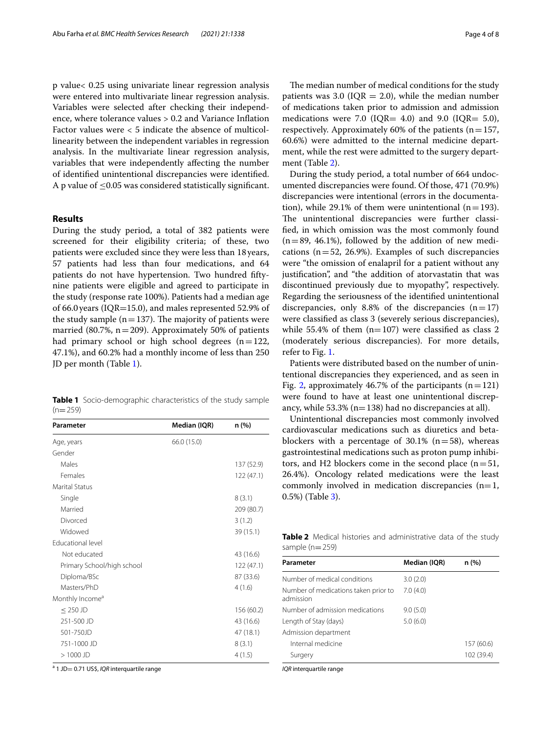p value< 0.25 using univariate linear regression analysis were entered into multivariate linear regression analysis. Variables were selected after checking their independence, where tolerance values > 0.2 and Variance Infation Factor values were < 5 indicate the absence of multicollinearity between the independent variables in regression analysis. In the multivariate linear regression analysis, variables that were independently afecting the number of identifed unintentional discrepancies were identifed. A p value of  $\leq$ 0.05 was considered statistically significant.

#### **Results**

During the study period, a total of 382 patients were screened for their eligibility criteria; of these, two patients were excluded since they were less than 18 years, 57 patients had less than four medications, and 64 patients do not have hypertension. Two hundred fftynine patients were eligible and agreed to participate in the study (response rate 100%). Patients had a median age of 66.0years (IQR=15.0), and males represented 52.9% of the study sample  $(n=137)$ . The majority of patients were married (80.7%,  $n = 209$ ). Approximately 50% of patients had primary school or high school degrees  $(n=122,$ 47.1%), and 60.2% had a monthly income of less than 250 JD per month (Table [1\)](#page-3-0).

<span id="page-3-0"></span>**Table 1** Socio-demographic characteristics of the study sample  $(n=259)$ 

| Parameter                   | Median (IQR) | n (%)      |
|-----------------------------|--------------|------------|
| Age, years                  | 66.0 (15.0)  |            |
| Gender                      |              |            |
| Males                       |              | 137 (52.9) |
| Females                     |              | 122(47.1)  |
| <b>Marital Status</b>       |              |            |
| Single                      |              | 8(3.1)     |
| Married                     |              | 209 (80.7) |
| Divorced                    |              | 3(1.2)     |
| Widowed                     |              | 39 (15.1)  |
| Educational level           |              |            |
| Not educated                |              | 43 (16.6)  |
| Primary School/high school  |              | 122(47.1)  |
| Diploma/BSc                 |              | 87 (33.6)  |
| Masters/PhD                 |              | 4(1.6)     |
| Monthly Income <sup>a</sup> |              |            |
| $\leq$ 250 JD               |              | 156 (60.2) |
| 251-500 JD                  |              | 43 (16.6)  |
| 501-750JD                   |              | 47 (18.1)  |
| 751-1000 JD                 |              | 8(3.1)     |
| $>1000$ JD                  |              | 4(1.5)     |

<sup>a</sup> 1 JD= 0.71 US\$, *IQR* interquartile range

The median number of medical conditions for the study patients was 3.0 ( $IQR = 2.0$ ), while the median number of medications taken prior to admission and admission medications were 7.0 (IQR= 4.0) and 9.0 (IQR= 5.0), respectively. Approximately 60% of the patients ( $n=157$ , 60.6%) were admitted to the internal medicine department, while the rest were admitted to the surgery department (Table [2](#page-3-1)).

During the study period, a total number of 664 undocumented discrepancies were found. Of those, 471 (70.9%) discrepancies were intentional (errors in the documentation), while 29.1% of them were unintentional ( $n=193$ ). The unintentional discrepancies were further classifed, in which omission was the most commonly found  $(n=89, 46.1\%)$ , followed by the addition of new medications ( $n=52$ , 26.9%). Examples of such discrepancies were "the omission of enalapril for a patient without any justifcation", and "the addition of atorvastatin that was discontinued previously due to myopathy", respectively. Regarding the seriousness of the identifed unintentional discrepancies, only 8.8% of the discrepancies  $(n=17)$ were classifed as class 3 (severely serious discrepancies), while 55.4% of them  $(n=107)$  were classified as class 2 (moderately serious discrepancies). For more details, refer to Fig. [1.](#page-4-0)

Patients were distributed based on the number of unintentional discrepancies they experienced, and as seen in Fig. [2,](#page-4-1) approximately 46.7% of the participants  $(n=121)$ were found to have at least one unintentional discrepancy, while  $53.3\%$  (n=138) had no discrepancies at all).

Unintentional discrepancies most commonly involved cardiovascular medications such as diuretics and betablockers with a percentage of 30.1%  $(n=58)$ , whereas gastrointestinal medications such as proton pump inhibitors, and H2 blockers come in the second place  $(n=51,$ 26.4%). Oncology related medications were the least commonly involved in medication discrepancies  $(n=1,$ 0.5%) (Table [3\)](#page-5-0).

<span id="page-3-1"></span>**Table 2** Medical histories and administrative data of the study sample  $(n=259)$ 

| Parameter                                         | Median (IQR) | n (%)      |
|---------------------------------------------------|--------------|------------|
| Number of medical conditions                      | 3.0(2.0)     |            |
| Number of medications taken prior to<br>admission | 7.0(4.0)     |            |
| Number of admission medications                   | 9.0(5.0)     |            |
| Length of Stay (days)                             | 5.0(6.0)     |            |
| Admission department                              |              |            |
| Internal medicine                                 |              | 157 (60.6) |
| Surgery                                           |              | 102 (39.4) |
|                                                   |              |            |

*IQR* interquartile range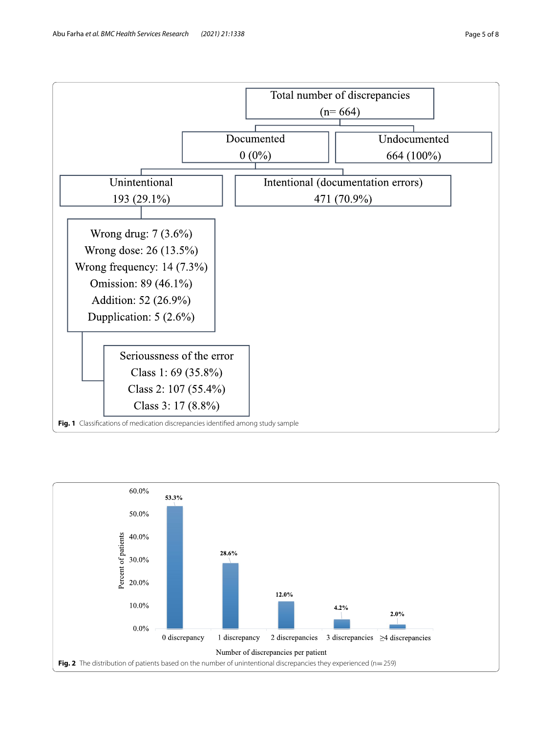



<span id="page-4-1"></span><span id="page-4-0"></span>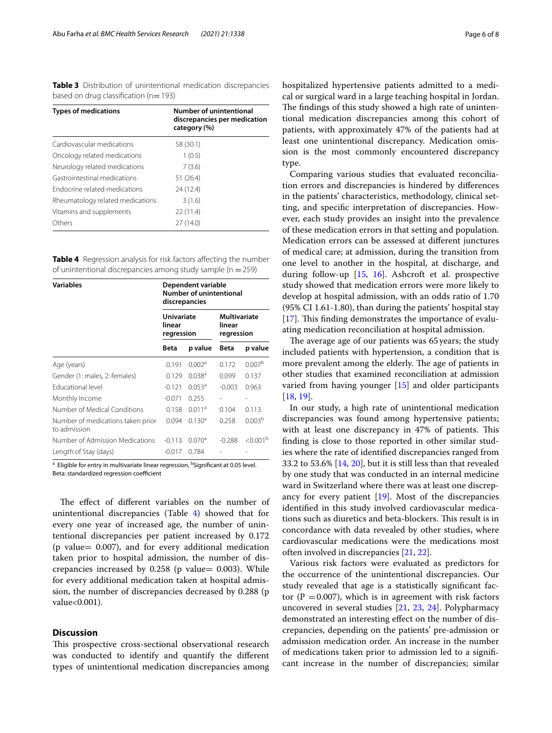<span id="page-5-0"></span>**Table 3** Distribution of unintentional medication discrepancies based on drug classification ( $n=193$ )

| <b>Types of medications</b>      | Number of unintentional<br>discrepancies per medication<br>category (%) |  |  |  |
|----------------------------------|-------------------------------------------------------------------------|--|--|--|
| Cardiovascular medications       | 58 (30.1)                                                               |  |  |  |
| Oncology related medications     | 1(0.5)                                                                  |  |  |  |
| Neurology related medications    | 7(3.6)                                                                  |  |  |  |
| Gastrointestinal medications     | 51(26.4)                                                                |  |  |  |
| Endocrine related medications    | 24 (12.4)                                                               |  |  |  |
| Rheumatology related medications | 3(1.6)                                                                  |  |  |  |
| Vitamins and supplements         | 22(11.4)                                                                |  |  |  |
| Others                           | 27 (14.0)                                                               |  |  |  |

<span id="page-5-1"></span>**Table 4** Regression analysis for risk factors affecting the number of unintentional discrepancies among study sample ( $n = 259$ )

| <b>Variables</b>                                  | Dependent variable<br>Number of unintentional<br>discrepancies |                    |                                      |                      |
|---------------------------------------------------|----------------------------------------------------------------|--------------------|--------------------------------------|----------------------|
|                                                   | <b>Univariate</b><br>linear<br>regression                      |                    | Multivariate<br>linear<br>regression |                      |
|                                                   | Beta                                                           | p value            | Beta                                 | p value              |
| Age (years)                                       | 0.191                                                          | 0.002a             | 0.172                                | 0.007 <sup>b</sup>   |
| Gender (1: males, 2: females)                     | 0.129                                                          | $0.038^{a}$        | 0.099                                | 0.137                |
| <b>Educational level</b>                          | $-0.121$                                                       | $0.053^a$          | $-0.003$                             | 0.963                |
| Monthly Income                                    | $-0.071$                                                       | 0.255              |                                      | $\overline{a}$       |
| Number of Medical Conditions                      | 0.158                                                          | 0.011 <sup>a</sup> | 0.104                                | 0.113                |
| Number of medications taken prior<br>to admission | 0.094                                                          | $0.130^{a}$        | 0.258                                | 0.003 <sup>b</sup>   |
| Number of Admission Medications                   | $-0.113$                                                       | 0.070 <sup>a</sup> | $-0.288$                             | < 0.001 <sup>b</sup> |
| Length of Stay (days)                             | $-0.017$                                                       | 0.784              |                                      |                      |

a Eligible for entry in multivariate linear regression, <sup>b</sup>Significant at 0.05 level. Beta: standardized regression coefficient

The effect of different variables on the number of unintentional discrepancies (Table [4\)](#page-5-1) showed that for every one year of increased age, the number of unintentional discrepancies per patient increased by 0.172 (p value= 0.007), and for every additional medication taken prior to hospital admission, the number of discrepancies increased by  $0.258$  (p value= 0.003). While for every additional medication taken at hospital admission, the number of discrepancies decreased by 0.288 (p value<0.001).

#### **Discussion**

This prospective cross-sectional observational research was conducted to identify and quantify the diferent types of unintentional medication discrepancies among hospitalized hypertensive patients admitted to a medical or surgical ward in a large teaching hospital in Jordan. The findings of this study showed a high rate of unintentional medication discrepancies among this cohort of patients, with approximately 47% of the patients had at least one unintentional discrepancy. Medication omission is the most commonly encountered discrepancy type.

Comparing various studies that evaluated reconciliation errors and discrepancies is hindered by diferences in the patients' characteristics, methodology, clinical setting, and specifc interpretation of discrepancies. However, each study provides an insight into the prevalence of these medication errors in that setting and population. Medication errors can be assessed at diferent junctures of medical care; at admission, during the transition from one level to another in the hospital, at discharge, and during follow-up [\[15,](#page-7-14) [16](#page-7-15)]. Ashcroft et al. prospective study showed that medication errors were more likely to develop at hospital admission, with an odds ratio of 1.70 (95% CI 1.61-1.80), than during the patients' hospital stay [[17\]](#page-7-16). This finding demonstrates the importance of evaluating medication reconciliation at hospital admission.

The average age of our patients was 65 years; the study included patients with hypertension, a condition that is more prevalent among the elderly. The age of patients in other studies that examined reconciliation at admission varied from having younger [[15\]](#page-7-14) and older participants [[18,](#page-7-17) [19](#page-7-18)].

In our study, a high rate of unintentional medication discrepancies was found among hypertensive patients; with at least one discrepancy in 47% of patients. This fnding is close to those reported in other similar studies where the rate of identifed discrepancies ranged from 33.2 to 53.6% [\[14](#page-7-13), [20\]](#page-7-19), but it is still less than that revealed by one study that was conducted in an internal medicine ward in Switzerland where there was at least one discrepancy for every patient [[19](#page-7-18)]. Most of the discrepancies identifed in this study involved cardiovascular medications such as diuretics and beta-blockers. This result is in concordance with data revealed by other studies, where cardiovascular medications were the medications most often involved in discrepancies [\[21](#page-7-20), [22\]](#page-7-21).

Various risk factors were evaluated as predictors for the occurrence of the unintentional discrepancies. Our study revealed that age is a statistically signifcant factor ( $P = 0.007$ ), which is in agreement with risk factors uncovered in several studies [[21,](#page-7-20) [23](#page-7-22), [24](#page-7-23)]. Polypharmacy demonstrated an interesting efect on the number of discrepancies, depending on the patients' pre-admission or admission medication order. An increase in the number of medications taken prior to admission led to a signifcant increase in the number of discrepancies; similar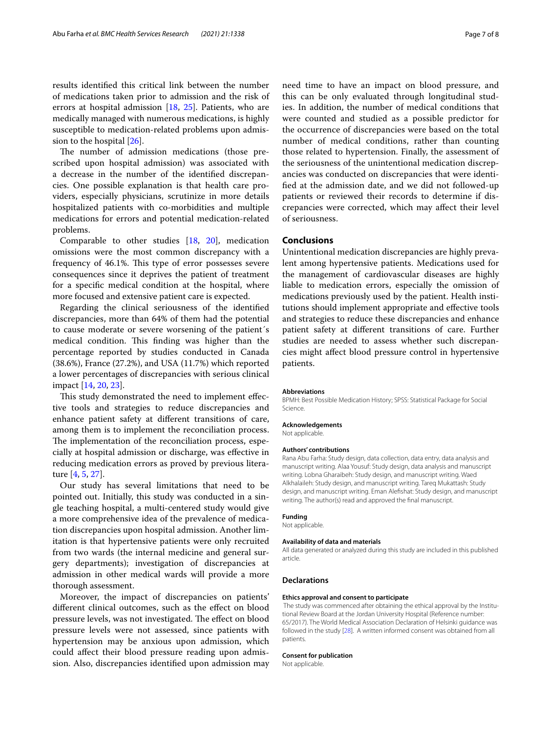results identifed this critical link between the number of medications taken prior to admission and the risk of errors at hospital admission [\[18,](#page-7-17) [25\]](#page-7-24). Patients, who are medically managed with numerous medications, is highly susceptible to medication-related problems upon admission to the hospital [\[26\]](#page-7-25).

The number of admission medications (those prescribed upon hospital admission) was associated with a decrease in the number of the identifed discrepancies. One possible explanation is that health care providers, especially physicians, scrutinize in more details hospitalized patients with co-morbidities and multiple medications for errors and potential medication-related problems.

Comparable to other studies [[18,](#page-7-17) [20](#page-7-19)], medication omissions were the most common discrepancy with a frequency of 46.1%. This type of error possesses severe consequences since it deprives the patient of treatment for a specifc medical condition at the hospital, where more focused and extensive patient care is expected.

Regarding the clinical seriousness of the identifed discrepancies, more than 64% of them had the potential to cause moderate or severe worsening of the patient´s medical condition. This finding was higher than the percentage reported by studies conducted in Canada (38.6%), France (27.2%), and USA (11.7%) which reported a lower percentages of discrepancies with serious clinical impact [[14](#page-7-13), [20,](#page-7-19) [23](#page-7-22)].

This study demonstrated the need to implement effective tools and strategies to reduce discrepancies and enhance patient safety at diferent transitions of care, among them is to implement the reconciliation process. The implementation of the reconciliation process, especially at hospital admission or discharge, was efective in reducing medication errors as proved by previous literature [[4,](#page-7-3) [5](#page-7-4), [27\]](#page-7-26).

Our study has several limitations that need to be pointed out. Initially, this study was conducted in a single teaching hospital, a multi-centered study would give a more comprehensive idea of the prevalence of medication discrepancies upon hospital admission. Another limitation is that hypertensive patients were only recruited from two wards (the internal medicine and general surgery departments); investigation of discrepancies at admission in other medical wards will provide a more thorough assessment.

Moreover, the impact of discrepancies on patients' diferent clinical outcomes, such as the efect on blood pressure levels, was not investigated. The effect on blood pressure levels were not assessed, since patients with hypertension may be anxious upon admission, which could afect their blood pressure reading upon admission. Also, discrepancies identifed upon admission may

need time to have an impact on blood pressure, and this can be only evaluated through longitudinal studies. In addition, the number of medical conditions that were counted and studied as a possible predictor for the occurrence of discrepancies were based on the total number of medical conditions, rather than counting those related to hypertension. Finally, the assessment of the seriousness of the unintentional medication discrepancies was conducted on discrepancies that were identifed at the admission date, and we did not followed-up patients or reviewed their records to determine if discrepancies were corrected, which may afect their level of seriousness.

#### **Conclusions**

Unintentional medication discrepancies are highly prevalent among hypertensive patients. Medications used for the management of cardiovascular diseases are highly liable to medication errors, especially the omission of medications previously used by the patient. Health institutions should implement appropriate and efective tools and strategies to reduce these discrepancies and enhance patient safety at diferent transitions of care. Further studies are needed to assess whether such discrepancies might afect blood pressure control in hypertensive patients.

#### **Abbreviations**

BPMH: Best Possible Medication History; SPSS: Statistical Package for Social Science.

#### **Acknowledgements**

Not applicable.

#### **Authors' contributions**

Rana Abu Farha: Study design, data collection, data entry, data analysis and manuscript writing. Alaa Yousuf: Study design, data analysis and manuscript writing. Lobna Gharaibeh: Study design, and manuscript writing. Waed Alkhalaileh: Study design, and manuscript writing. Tareq Mukattash: Study design, and manuscript writing. Eman Alefshat: Study design, and manuscript writing. The author(s) read and approved the fnal manuscript.

#### **Funding**

Not applicable.

#### **Availability of data and materials**

All data generated or analyzed during this study are included in this published article.

#### **Declarations**

#### **Ethics approval and consent to participate**

 The study was commenced after obtaining the ethical approval by the Institutional Review Board at the Jordan University Hospital (Reference number: 65/2017). The World Medical Association Declaration of Helsinki guidance was followed in the study [\[28\]](#page-7-27). A written informed consent was obtained from all patients.

#### **Consent for publication**

Not applicable.